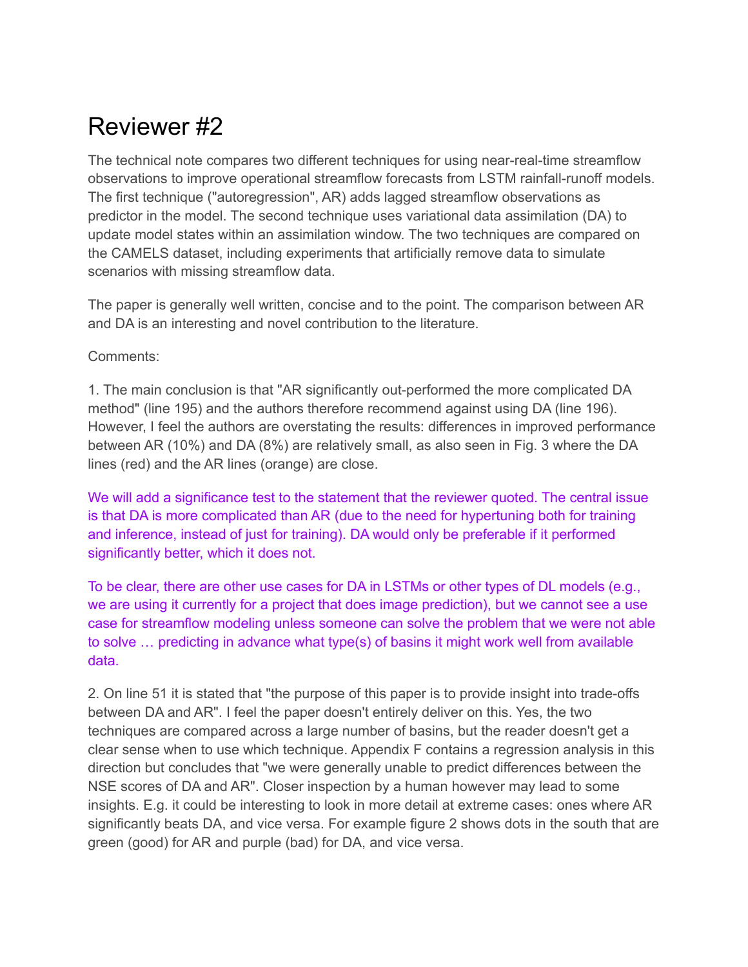## Reviewer #2

The technical note compares two different techniques for using near-real-time streamflow observations to improve operational streamflow forecasts from LSTM rainfall-runoff models. The first technique ("autoregression", AR) adds lagged streamflow observations as predictor in the model. The second technique uses variational data assimilation (DA) to update model states within an assimilation window. The two techniques are compared on the CAMELS dataset, including experiments that artificially remove data to simulate scenarios with missing streamflow data.

The paper is generally well written, concise and to the point. The comparison between AR and DA is an interesting and novel contribution to the literature.

Comments:

1. The main conclusion is that "AR significantly out-performed the more complicated DA method" (line 195) and the authors therefore recommend against using DA (line 196). However, I feel the authors are overstating the results: differences in improved performance between AR (10%) and DA (8%) are relatively small, as also seen in Fig. 3 where the DA lines (red) and the AR lines (orange) are close.

We will add a significance test to the statement that the reviewer quoted. The central issue is that DA is more complicated than AR (due to the need for hypertuning both for training and inference, instead of just for training). DA would only be preferable if it performed significantly better, which it does not.

To be clear, there are other use cases for DA in LSTMs or other types of DL models (e.g., we are using it currently for a project that does image prediction), but we cannot see a use case for streamflow modeling unless someone can solve the problem that we were not able to solve … predicting in advance what type(s) of basins it might work well from available data.

2. On line 51 it is stated that "the purpose of this paper is to provide insight into trade-offs between DA and AR". I feel the paper doesn't entirely deliver on this. Yes, the two techniques are compared across a large number of basins, but the reader doesn't get a clear sense when to use which technique. Appendix F contains a regression analysis in this direction but concludes that "we were generally unable to predict differences between the NSE scores of DA and AR". Closer inspection by a human however may lead to some insights. E.g. it could be interesting to look in more detail at extreme cases: ones where AR significantly beats DA, and vice versa. For example figure 2 shows dots in the south that are green (good) for AR and purple (bad) for DA, and vice versa.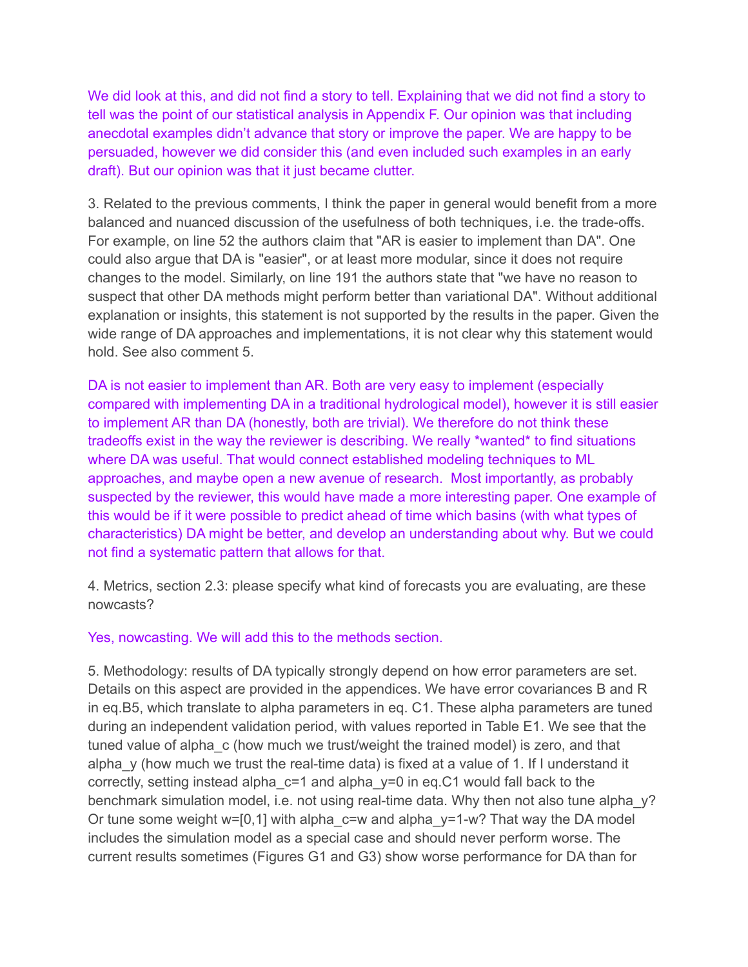We did look at this, and did not find a story to tell. Explaining that we did not find a story to tell was the point of our statistical analysis in Appendix F. Our opinion was that including anecdotal examples didn't advance that story or improve the paper. We are happy to be persuaded, however we did consider this (and even included such examples in an early draft). But our opinion was that it just became clutter.

3. Related to the previous comments, I think the paper in general would benefit from a more balanced and nuanced discussion of the usefulness of both techniques, i.e. the trade-offs. For example, on line 52 the authors claim that "AR is easier to implement than DA". One could also argue that DA is "easier", or at least more modular, since it does not require changes to the model. Similarly, on line 191 the authors state that "we have no reason to suspect that other DA methods might perform better than variational DA". Without additional explanation or insights, this statement is not supported by the results in the paper. Given the wide range of DA approaches and implementations, it is not clear why this statement would hold. See also comment 5.

DA is not easier to implement than AR. Both are very easy to implement (especially compared with implementing DA in a traditional hydrological model), however it is still easier to implement AR than DA (honestly, both are trivial). We therefore do not think these tradeoffs exist in the way the reviewer is describing. We really \*wanted\* to find situations where DA was useful. That would connect established modeling techniques to ML approaches, and maybe open a new avenue of research. Most importantly, as probably suspected by the reviewer, this would have made a more interesting paper. One example of this would be if it were possible to predict ahead of time which basins (with what types of characteristics) DA might be better, and develop an understanding about why. But we could not find a systematic pattern that allows for that.

4. Metrics, section 2.3: please specify what kind of forecasts you are evaluating, are these nowcasts?

Yes, nowcasting. We will add this to the methods section.

5. Methodology: results of DA typically strongly depend on how error parameters are set. Details on this aspect are provided in the appendices. We have error covariances B and R in eq.B5, which translate to alpha parameters in eq. C1. These alpha parameters are tuned during an independent validation period, with values reported in Table E1. We see that the tuned value of alpha\_c (how much we trust/weight the trained model) is zero, and that alpha  $y$  (how much we trust the real-time data) is fixed at a value of 1. If I understand it correctly, setting instead alpha\_c=1 and alpha\_y=0 in eq.C1 would fall back to the benchmark simulation model, i.e. not using real-time data. Why then not also tune alpha y? Or tune some weight w=[0,1] with alpha\_c=w and alpha\_y=1-w? That way the DA model includes the simulation model as a special case and should never perform worse. The current results sometimes (Figures G1 and G3) show worse performance for DA than for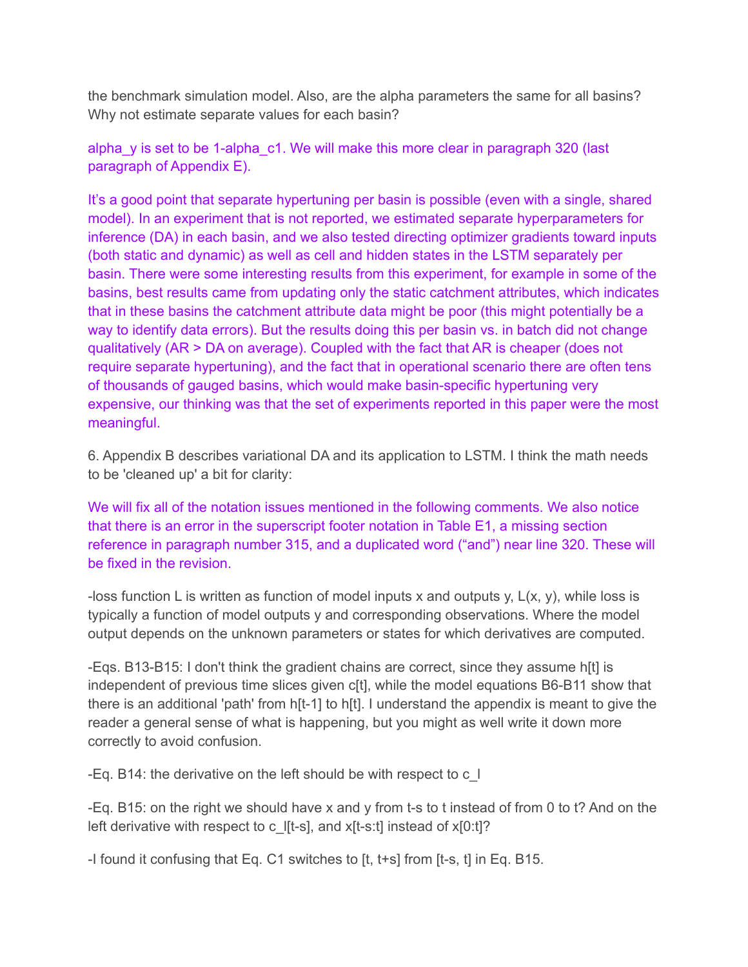the benchmark simulation model. Also, are the alpha parameters the same for all basins? Why not estimate separate values for each basin?

alpha y is set to be 1-alpha c1. We will make this more clear in paragraph 320 (last paragraph of Appendix E).

It's a good point that separate hypertuning per basin is possible (even with a single, shared model). In an experiment that is not reported, we estimated separate hyperparameters for inference (DA) in each basin, and we also tested directing optimizer gradients toward inputs (both static and dynamic) as well as cell and hidden states in the LSTM separately per basin. There were some interesting results from this experiment, for example in some of the basins, best results came from updating only the static catchment attributes, which indicates that in these basins the catchment attribute data might be poor (this might potentially be a way to identify data errors). But the results doing this per basin vs. in batch did not change qualitatively (AR > DA on average). Coupled with the fact that AR is cheaper (does not require separate hypertuning), and the fact that in operational scenario there are often tens of thousands of gauged basins, which would make basin-specific hypertuning very expensive, our thinking was that the set of experiments reported in this paper were the most meaningful.

6. Appendix B describes variational DA and its application to LSTM. I think the math needs to be 'cleaned up' a bit for clarity:

We will fix all of the notation issues mentioned in the following comments. We also notice that there is an error in the superscript footer notation in Table E1, a missing section reference in paragraph number 315, and a duplicated word ("and") near line 320. These will be fixed in the revision.

-loss function L is written as function of model inputs x and outputs y,  $L(x, y)$ , while loss is typically a function of model outputs y and corresponding observations. Where the model output depends on the unknown parameters or states for which derivatives are computed.

-Eqs. B13-B15: I don't think the gradient chains are correct, since they assume h[t] is independent of previous time slices given c[t], while the model equations B6-B11 show that there is an additional 'path' from h[t-1] to h[t]. I understand the appendix is meant to give the reader a general sense of what is happening, but you might as well write it down more correctly to avoid confusion.

-Eq. B14: the derivative on the left should be with respect to c\_l

-Eq. B15: on the right we should have x and y from t-s to t instead of from 0 to t? And on the left derivative with respect to c I[t-s], and  $x[t-s:t]$  instead of  $x[0:t]$ ?

-I found it confusing that Eq. C1 switches to [t, t+s] from [t-s, t] in Eq. B15.